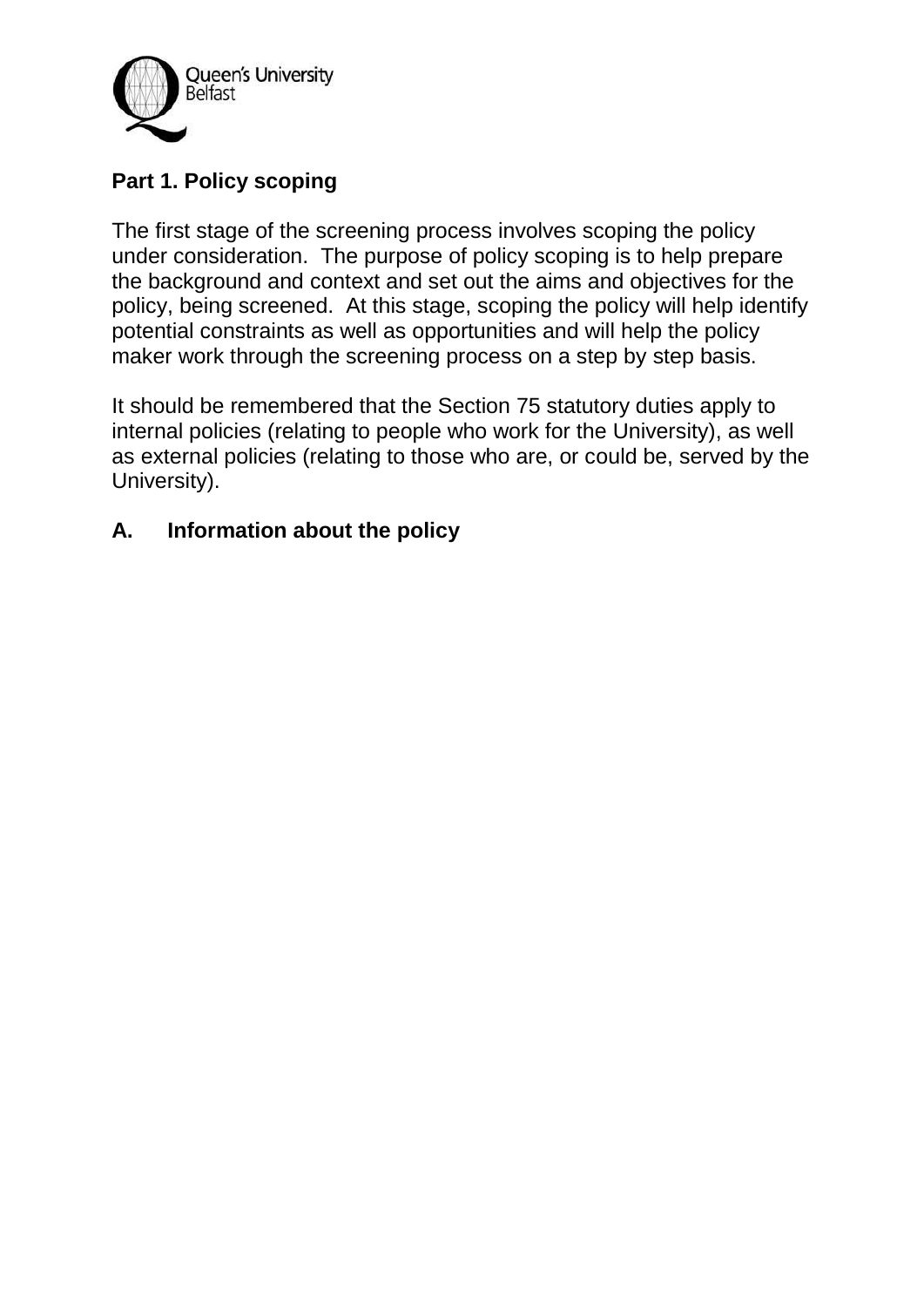

# **Part 1. Policy scoping**

The first stage of the screening process involves scoping the policy under consideration. The purpose of policy scoping is to help prepare the background and context and set out the aims and objectives for the policy, being screened. At this stage, scoping the policy will help identify potential constraints as well as opportunities and will help the policy maker work through the screening process on a step by step basis.

It should be remembered that the Section 75 statutory duties apply to internal policies (relating to people who work for the University), as well as external policies (relating to those who are, or could be, served by the University).

### **A. Information about the policy**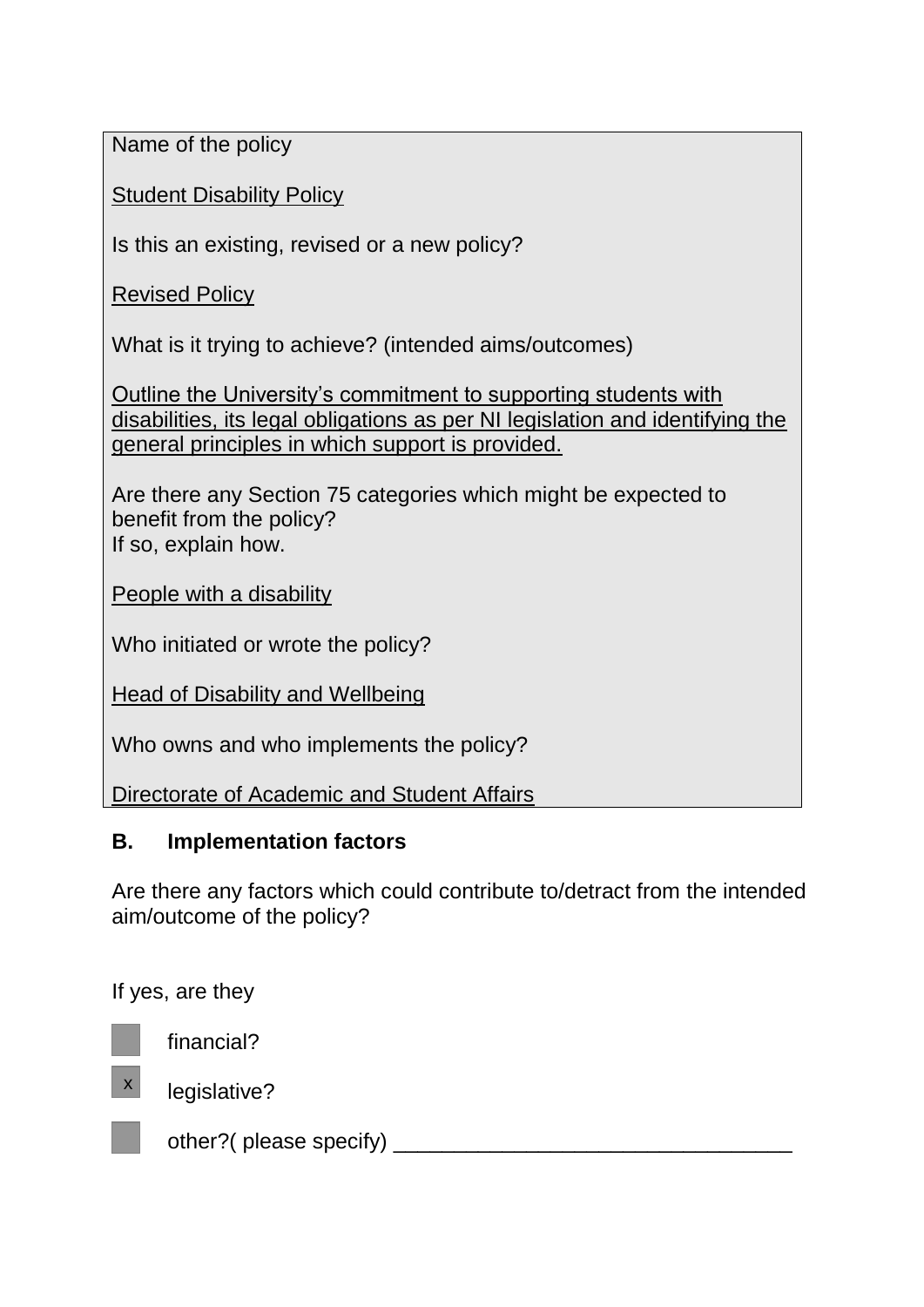Name of the policy

Student Disability Policy

Is this an existing, revised or a new policy?

Revised Policy

What is it trying to achieve? (intended aims/outcomes)

Outline the University's commitment to supporting students with disabilities, its legal obligations as per NI legislation and identifying the general principles in which support is provided.

Are there any Section 75 categories which might be expected to benefit from the policy? If so, explain how.

People with a disability

Who initiated or wrote the policy?

Head of Disability and Wellbeing

Who owns and who implements the policy?

Directorate of Academic and Student Affairs

### **B. Implementation factors**

Are there any factors which could contribute to/detract from the intended aim/outcome of the policy?

If yes, are they



financial?



legislative?

other?( please specify) \_\_\_\_\_\_\_\_\_\_\_\_\_\_\_\_\_\_\_\_\_\_\_\_\_\_\_\_\_\_\_\_\_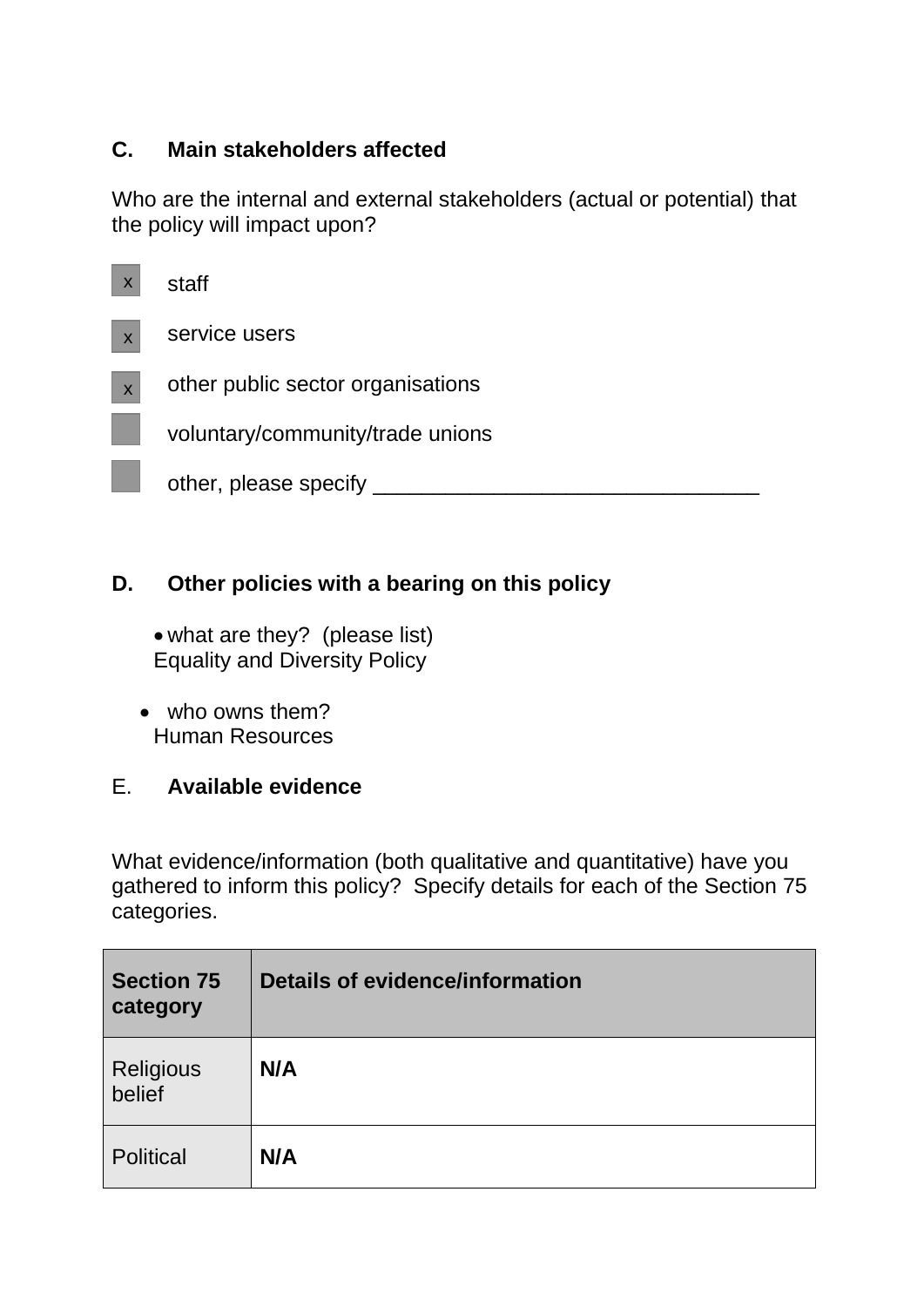## **C. Main stakeholders affected**

Who are the internal and external stakeholders (actual or potential) that the policy will impact upon?

| X                         | staff                             |
|---------------------------|-----------------------------------|
| $\mathsf{x}$              | service users                     |
| $\boldsymbol{\mathsf{X}}$ | other public sector organisations |
|                           | voluntary/community/trade unions  |
|                           | other, please specify             |

# **D. Other policies with a bearing on this policy**

- what are they? (please list) Equality and Diversity Policy
- who owns them? Human Resources

### E. **Available evidence**

What evidence/information (both qualitative and quantitative) have you gathered to inform this policy? Specify details for each of the Section 75 categories.

| <b>Section 75</b><br>category | <b>Details of evidence/information</b> |
|-------------------------------|----------------------------------------|
| <b>Religious</b><br>belief    | N/A                                    |
| <b>Political</b>              | N/A                                    |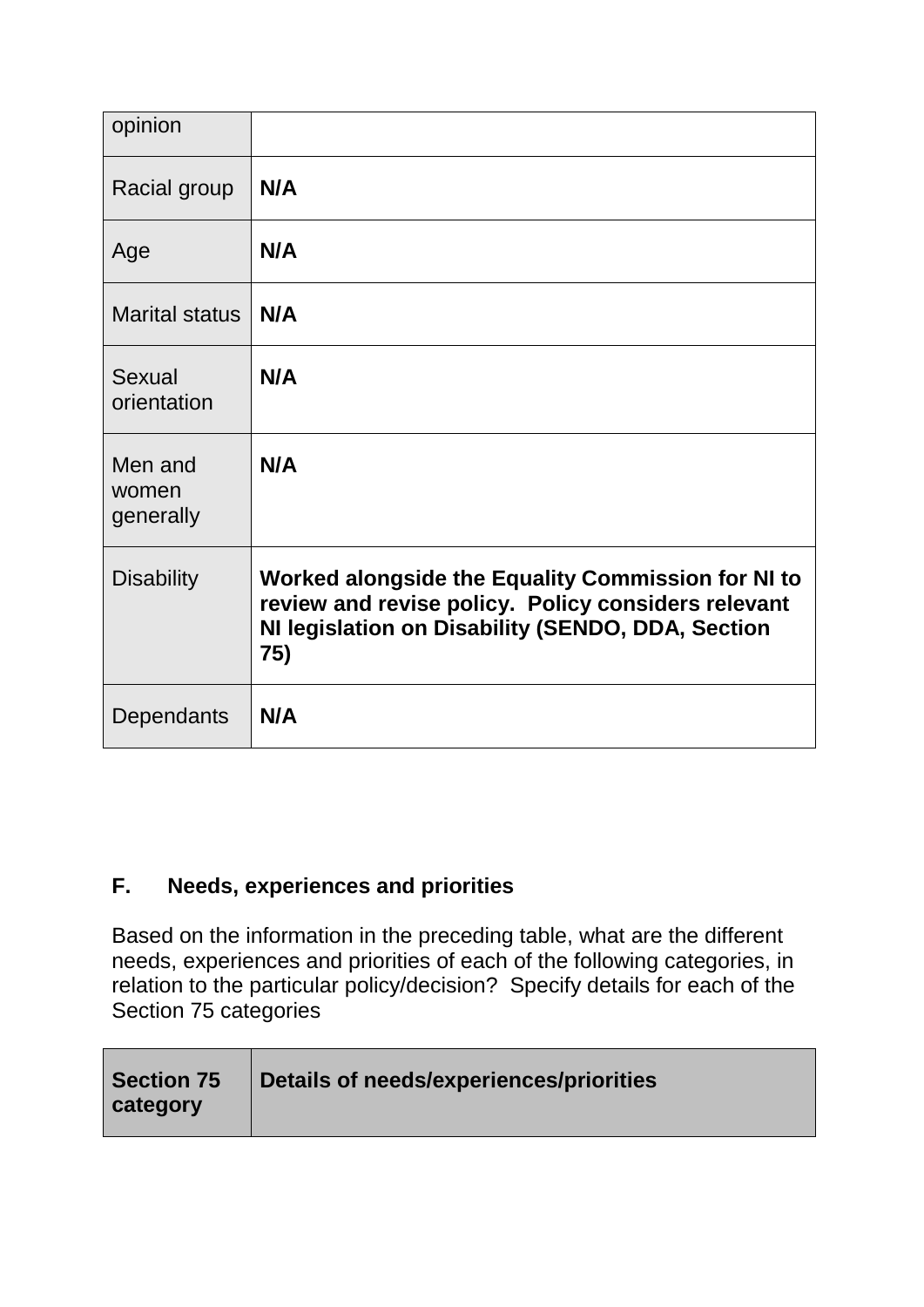| opinion                       |                                                                                                                                                                       |
|-------------------------------|-----------------------------------------------------------------------------------------------------------------------------------------------------------------------|
| Racial group                  | N/A                                                                                                                                                                   |
| Age                           | N/A                                                                                                                                                                   |
| <b>Marital status</b>         | N/A                                                                                                                                                                   |
| Sexual<br>orientation         | N/A                                                                                                                                                                   |
| Men and<br>women<br>generally | N/A                                                                                                                                                                   |
| <b>Disability</b>             | Worked alongside the Equality Commission for NI to<br>review and revise policy. Policy considers relevant<br>NI legislation on Disability (SENDO, DDA, Section<br>75) |
| Dependants                    | N/A                                                                                                                                                                   |

## **F. Needs, experiences and priorities**

Based on the information in the preceding table, what are the different needs, experiences and priorities of each of the following categories, in relation to the particular policy/decision? Specify details for each of the Section 75 categories

| Section 75<br>  category | Details of needs/experiences/priorities |
|--------------------------|-----------------------------------------|
|--------------------------|-----------------------------------------|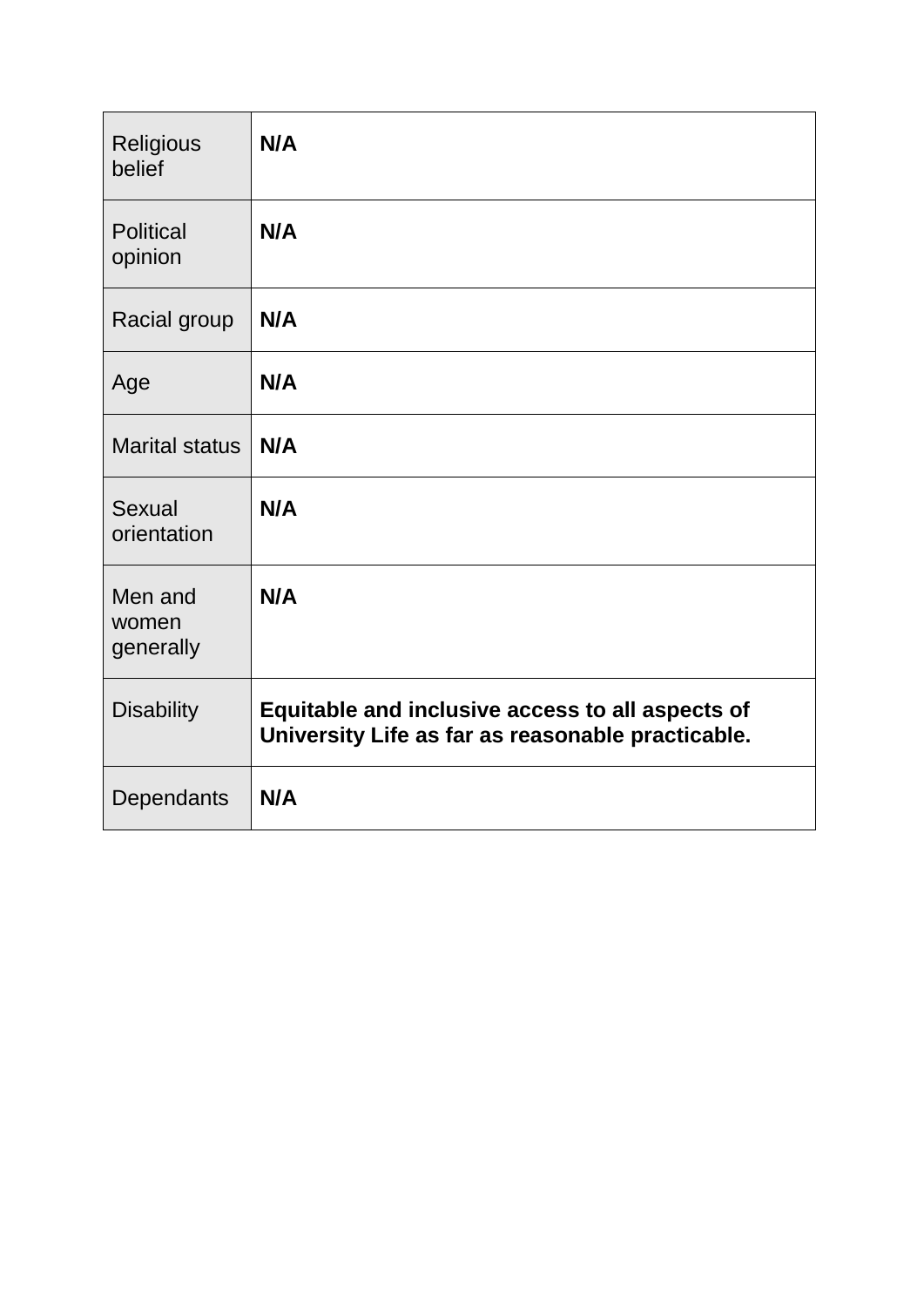| <b>Religious</b><br>belief    | N/A                                                                                                   |
|-------------------------------|-------------------------------------------------------------------------------------------------------|
| <b>Political</b><br>opinion   | N/A                                                                                                   |
| Racial group                  | N/A                                                                                                   |
| Age                           | N/A                                                                                                   |
| <b>Marital status</b>         | N/A                                                                                                   |
| Sexual<br>orientation         | N/A                                                                                                   |
| Men and<br>women<br>generally | N/A                                                                                                   |
| <b>Disability</b>             | Equitable and inclusive access to all aspects of<br>University Life as far as reasonable practicable. |
| Dependants                    | N/A                                                                                                   |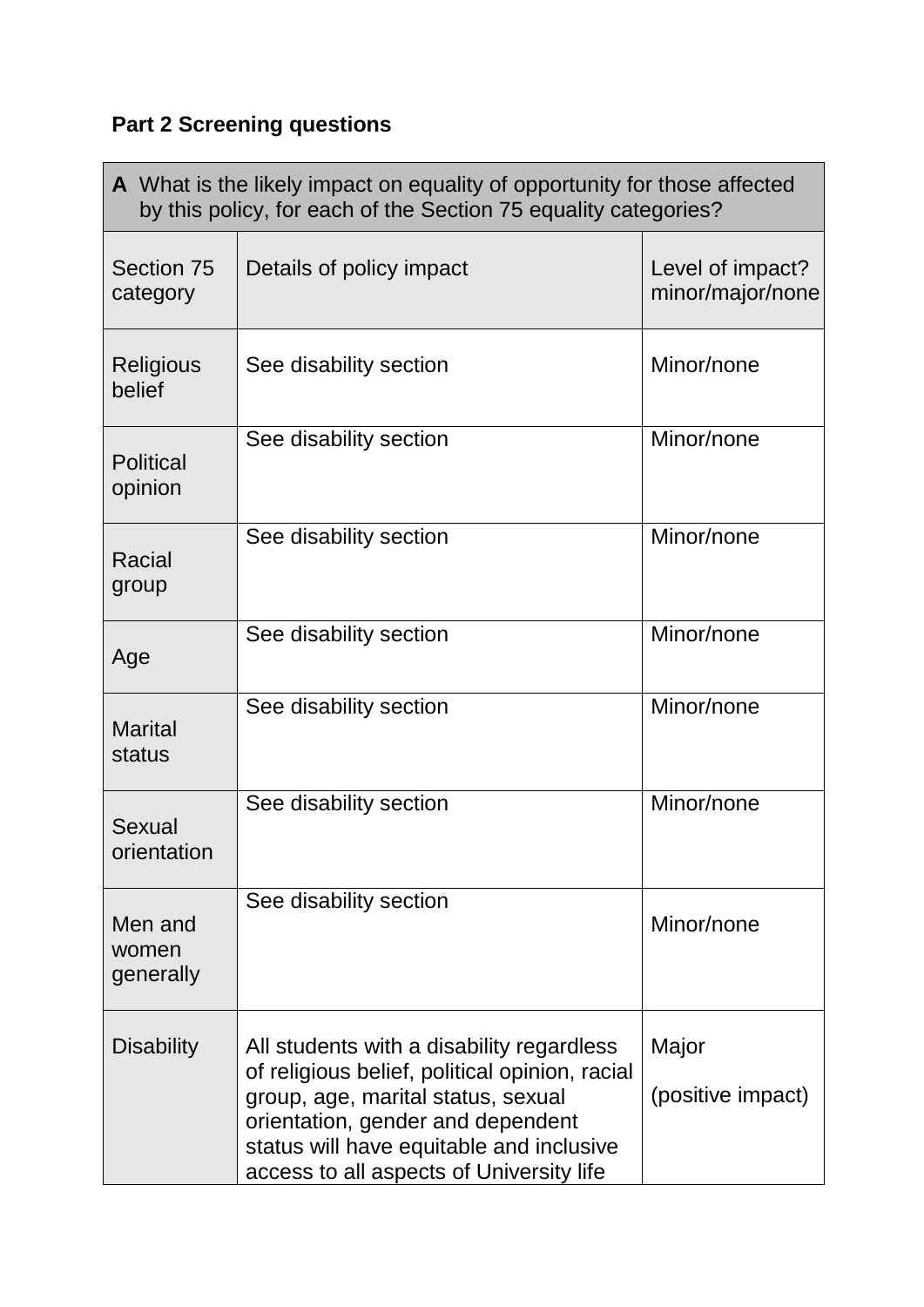# **Part 2 Screening questions**

| A What is the likely impact on equality of opportunity for those affected<br>by this policy, for each of the Section 75 equality categories? |                                                                                                                                                                                                                                                                |                                      |  |
|----------------------------------------------------------------------------------------------------------------------------------------------|----------------------------------------------------------------------------------------------------------------------------------------------------------------------------------------------------------------------------------------------------------------|--------------------------------------|--|
| Section 75<br>category                                                                                                                       | Details of policy impact                                                                                                                                                                                                                                       | Level of impact?<br>minor/major/none |  |
| Religious<br>belief                                                                                                                          | See disability section                                                                                                                                                                                                                                         | Minor/none                           |  |
| <b>Political</b><br>opinion                                                                                                                  | See disability section                                                                                                                                                                                                                                         | Minor/none                           |  |
| Racial<br>group                                                                                                                              | See disability section                                                                                                                                                                                                                                         | Minor/none                           |  |
| Age                                                                                                                                          | See disability section                                                                                                                                                                                                                                         | Minor/none                           |  |
| <b>Marital</b><br>status                                                                                                                     | See disability section                                                                                                                                                                                                                                         | Minor/none                           |  |
| Sexual<br>orientation                                                                                                                        | See disability section                                                                                                                                                                                                                                         | Minor/none                           |  |
| Men and<br>women<br>generally                                                                                                                | See disability section                                                                                                                                                                                                                                         | Minor/none                           |  |
| <b>Disability</b>                                                                                                                            | All students with a disability regardless<br>of religious belief, political opinion, racial<br>group, age, marital status, sexual<br>orientation, gender and dependent<br>status will have equitable and inclusive<br>access to all aspects of University life | Major<br>(positive impact)           |  |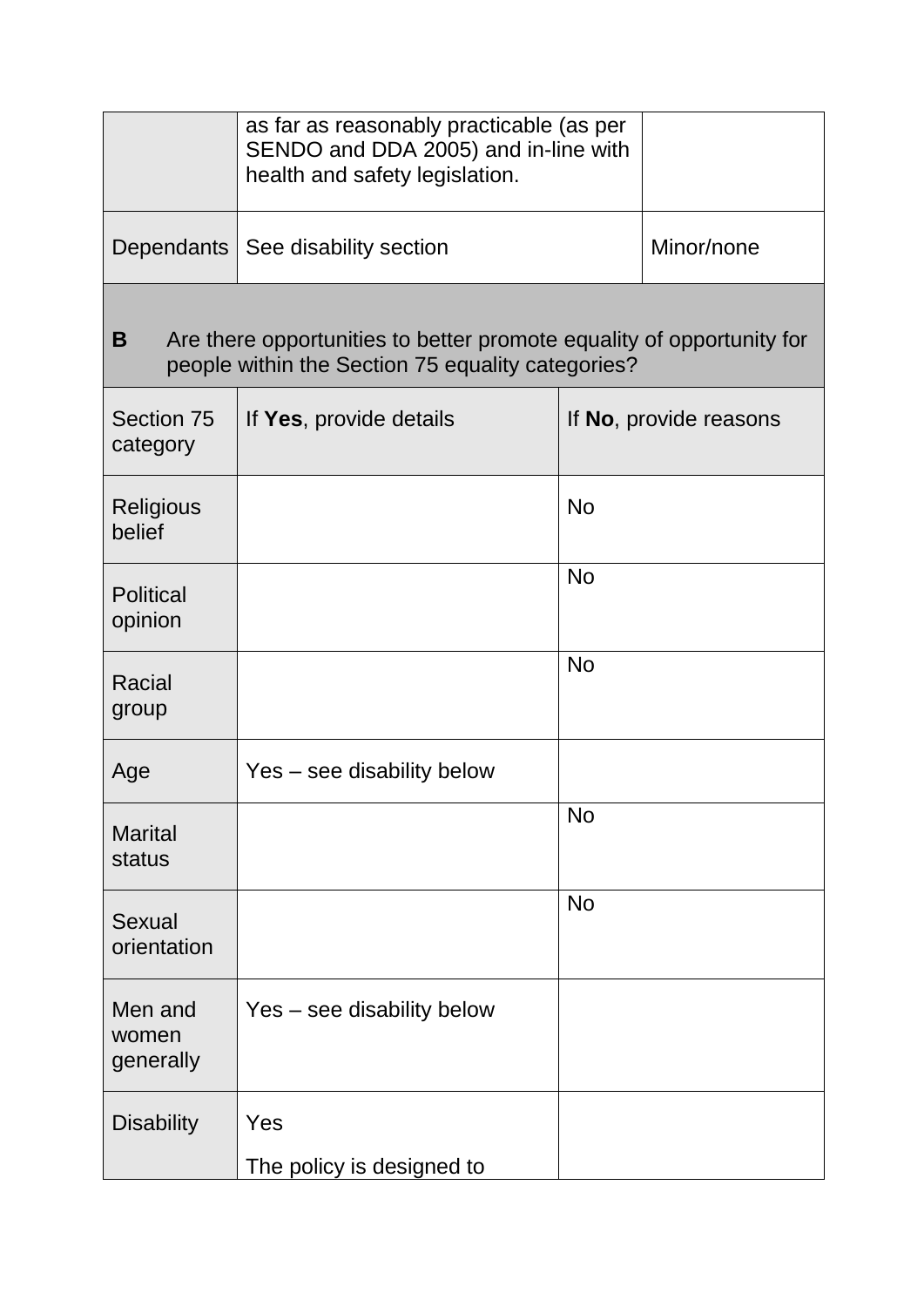|                               | as far as reasonably practicable (as per<br>SENDO and DDA 2005) and in-line with<br>health and safety legislation.         |           |                        |  |  |
|-------------------------------|----------------------------------------------------------------------------------------------------------------------------|-----------|------------------------|--|--|
| Dependants                    | See disability section                                                                                                     |           | Minor/none             |  |  |
| B                             | Are there opportunities to better promote equality of opportunity for<br>people within the Section 75 equality categories? |           |                        |  |  |
| Section 75<br>category        | If Yes, provide details                                                                                                    |           | If No, provide reasons |  |  |
| <b>Religious</b><br>belief    |                                                                                                                            | <b>No</b> |                        |  |  |
| <b>Political</b><br>opinion   |                                                                                                                            | <b>No</b> |                        |  |  |
| <b>Racial</b><br>group        |                                                                                                                            | <b>No</b> |                        |  |  |
| Age                           | Yes – see disability below                                                                                                 |           |                        |  |  |
| <b>Marital</b><br>status      |                                                                                                                            | <b>No</b> |                        |  |  |
| Sexual<br>orientation         |                                                                                                                            | <b>No</b> |                        |  |  |
| Men and<br>women<br>generally | Yes – see disability below                                                                                                 |           |                        |  |  |
| <b>Disability</b>             | Yes<br>The policy is designed to                                                                                           |           |                        |  |  |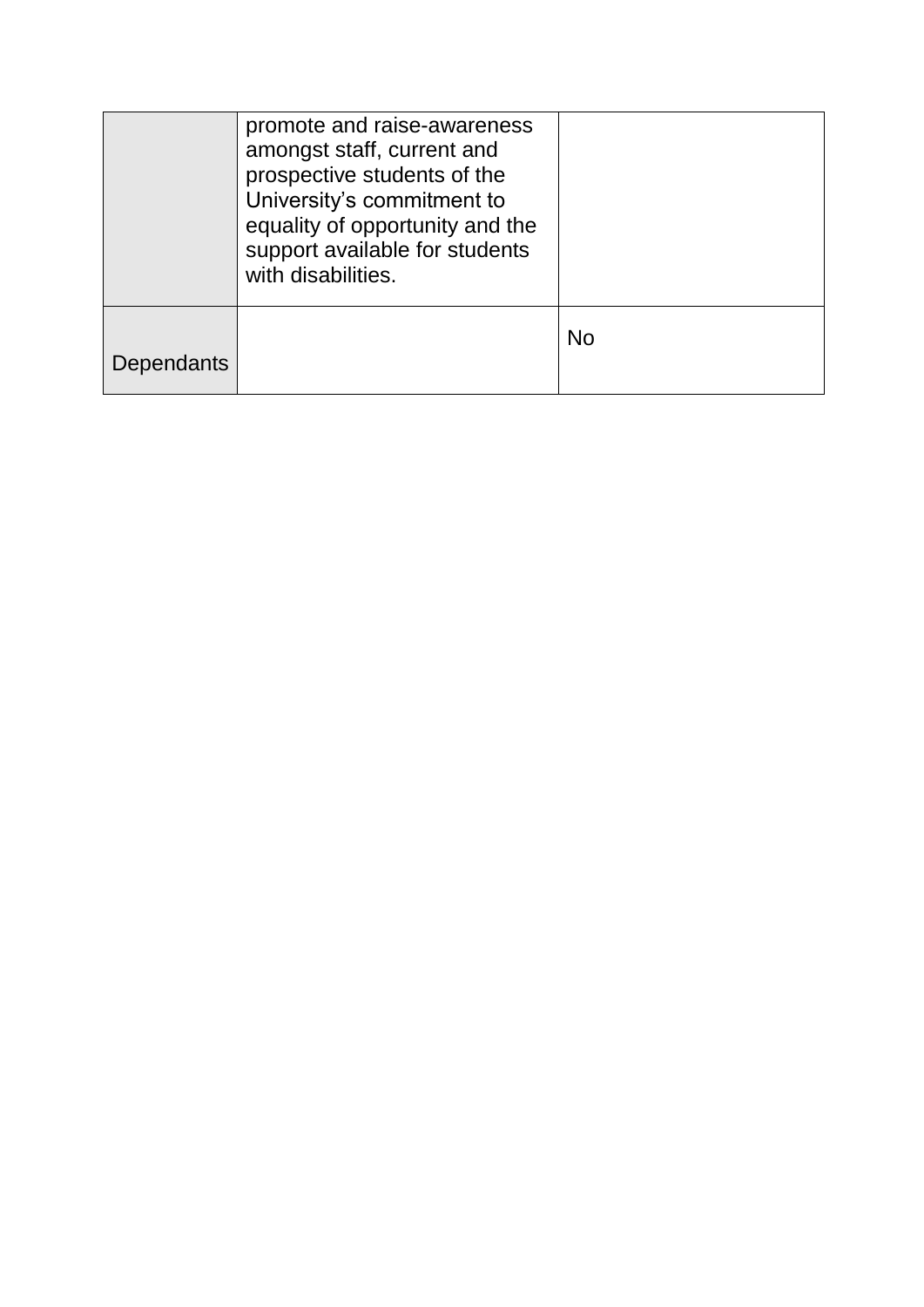|            | promote and raise-awareness<br>amongst staff, current and<br>prospective students of the<br>University's commitment to<br>equality of opportunity and the<br>support available for students<br>with disabilities. |    |
|------------|-------------------------------------------------------------------------------------------------------------------------------------------------------------------------------------------------------------------|----|
| Dependants |                                                                                                                                                                                                                   | No |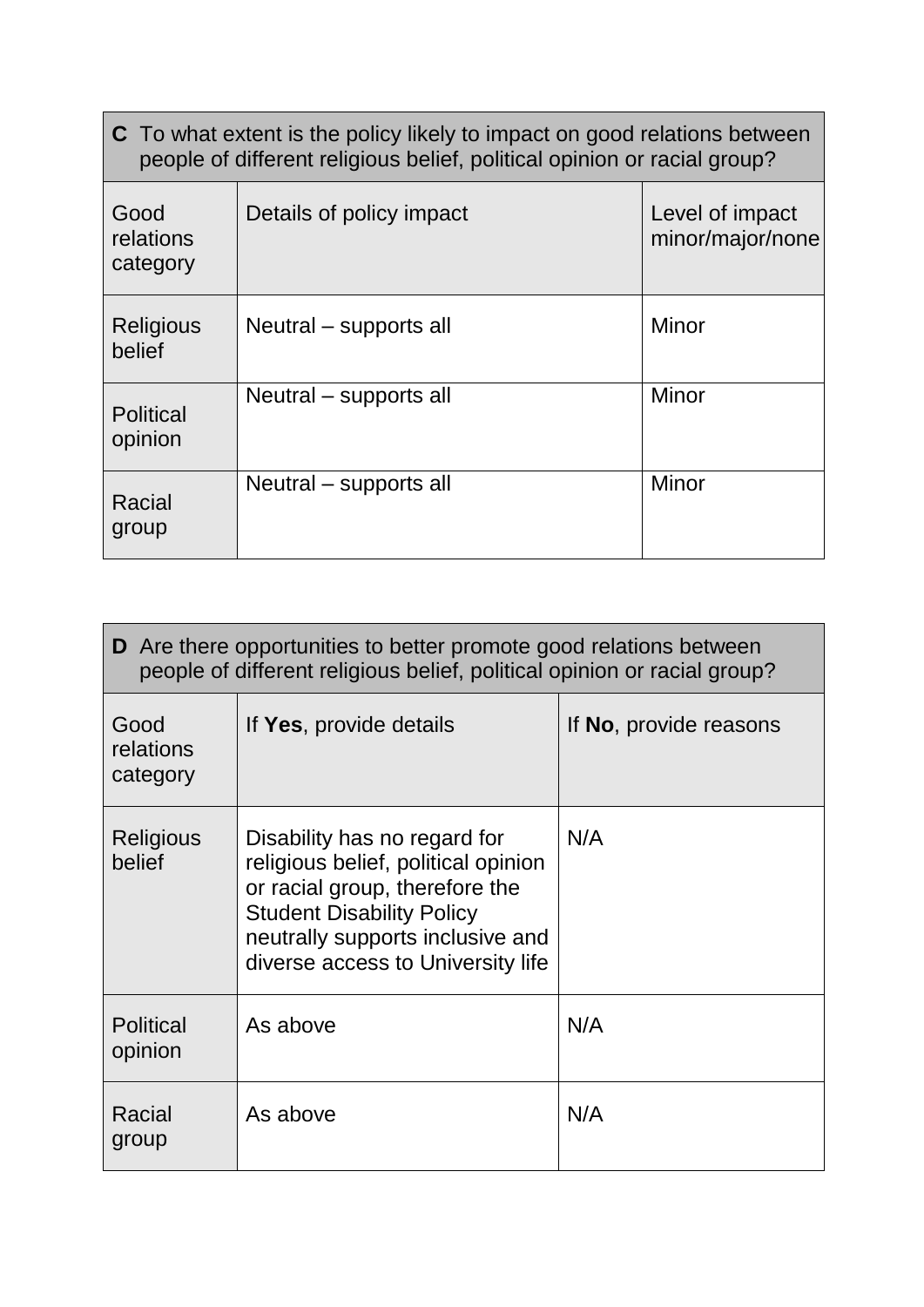| C To what extent is the policy likely to impact on good relations between<br>people of different religious belief, political opinion or racial group? |                          |                                     |  |
|-------------------------------------------------------------------------------------------------------------------------------------------------------|--------------------------|-------------------------------------|--|
| Good<br>relations<br>category                                                                                                                         | Details of policy impact | Level of impact<br>minor/major/none |  |
| <b>Religious</b><br>belief                                                                                                                            | Neutral – supports all   | Minor                               |  |
| <b>Political</b><br>opinion                                                                                                                           | Neutral – supports all   | Minor                               |  |
| Racial<br>group                                                                                                                                       | Neutral – supports all   | Minor                               |  |

| <b>D</b> Are there opportunities to better promote good relations between<br>people of different religious belief, political opinion or racial group? |                                                                                                                                                                                                                    |                        |  |
|-------------------------------------------------------------------------------------------------------------------------------------------------------|--------------------------------------------------------------------------------------------------------------------------------------------------------------------------------------------------------------------|------------------------|--|
| Good<br>relations<br>category                                                                                                                         | If Yes, provide details                                                                                                                                                                                            | If No, provide reasons |  |
| <b>Religious</b><br>belief                                                                                                                            | Disability has no regard for<br>religious belief, political opinion<br>or racial group, therefore the<br><b>Student Disability Policy</b><br>neutrally supports inclusive and<br>diverse access to University life | N/A                    |  |
| <b>Political</b><br>opinion                                                                                                                           | As above                                                                                                                                                                                                           | N/A                    |  |
| Racial<br>group                                                                                                                                       | As above                                                                                                                                                                                                           | N/A                    |  |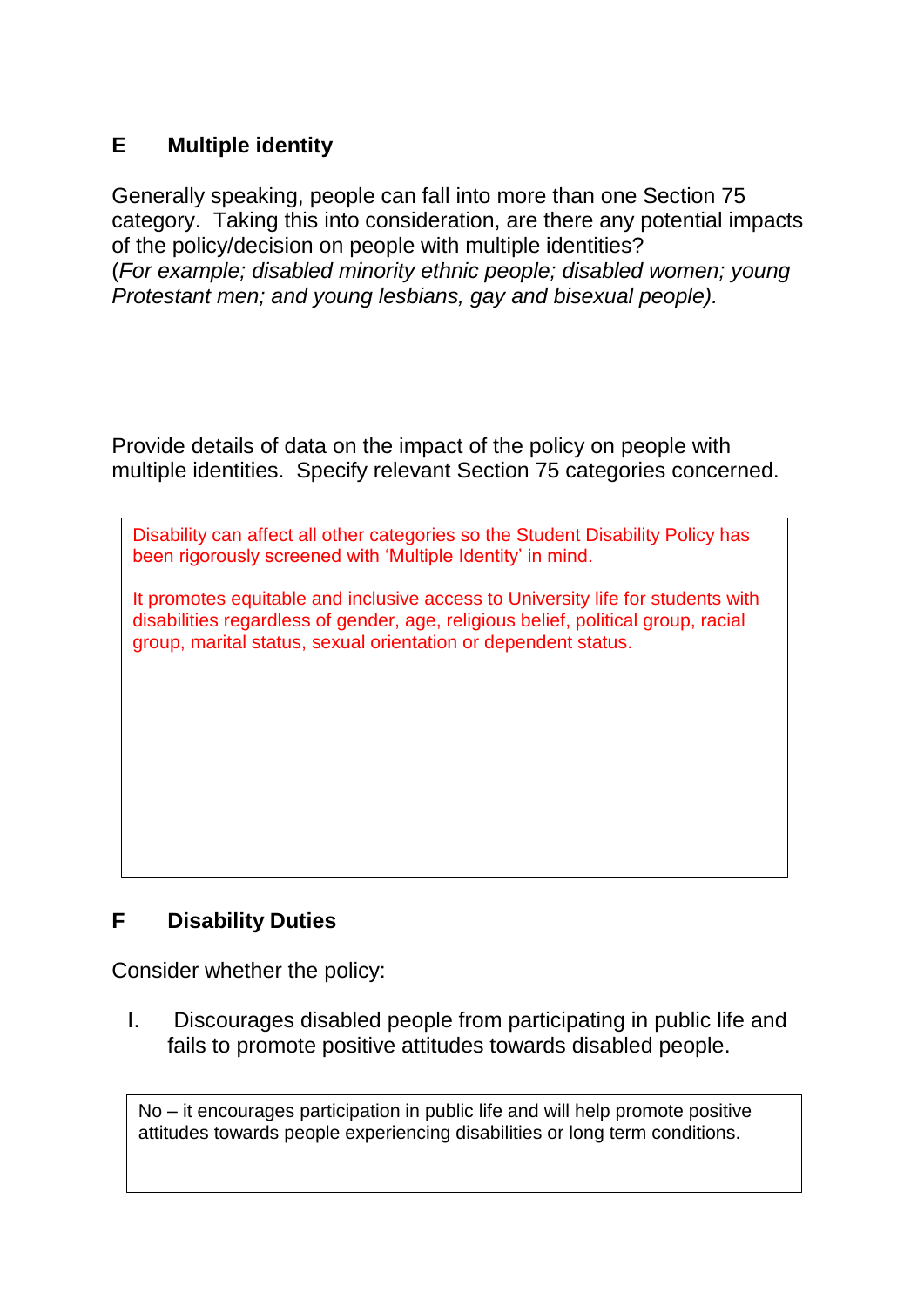## **E Multiple identity**

Generally speaking, people can fall into more than one Section 75 category. Taking this into consideration, are there any potential impacts of the policy/decision on people with multiple identities? (*For example; disabled minority ethnic people; disabled women; young Protestant men; and young lesbians, gay and bisexual people).*

Provide details of data on the impact of the policy on people with multiple identities. Specify relevant Section 75 categories concerned.

Disability can affect all other categories so the Student Disability Policy has been rigorously screened with 'Multiple Identity' in mind.

It promotes equitable and inclusive access to University life for students with disabilities regardless of gender, age, religious belief, political group, racial group, marital status, sexual orientation or dependent status.

### **F Disability Duties**

Consider whether the policy:

I. Discourages disabled people from participating in public life and fails to promote positive attitudes towards disabled people.

No – it encourages participation in public life and will help promote positive attitudes towards people experiencing disabilities or long term conditions.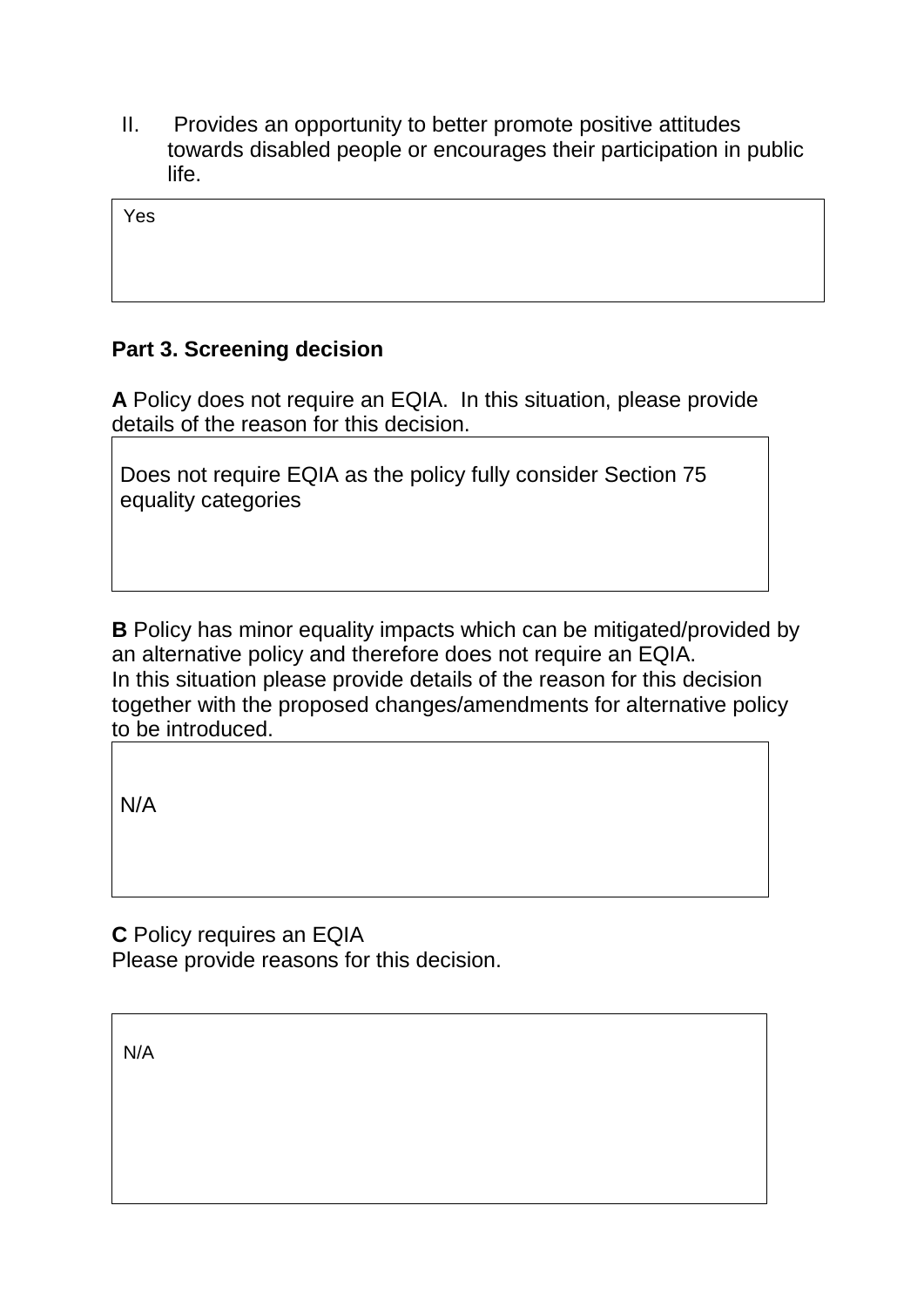II. Provides an opportunity to better promote positive attitudes towards disabled people or encourages their participation in public life.

Yes

### **Part 3. Screening decision**

**A** Policy does not require an EQIA. In this situation, please provide details of the reason for this decision.

Does not require EQIA as the policy fully consider Section 75 equality categories

**B** Policy has minor equality impacts which can be mitigated/provided by an alternative policy and therefore does not require an EQIA. In this situation please provide details of the reason for this decision together with the proposed changes/amendments for alternative policy to be introduced.

N/A

**C** Policy requires an EQIA Please provide reasons for this decision.

N/A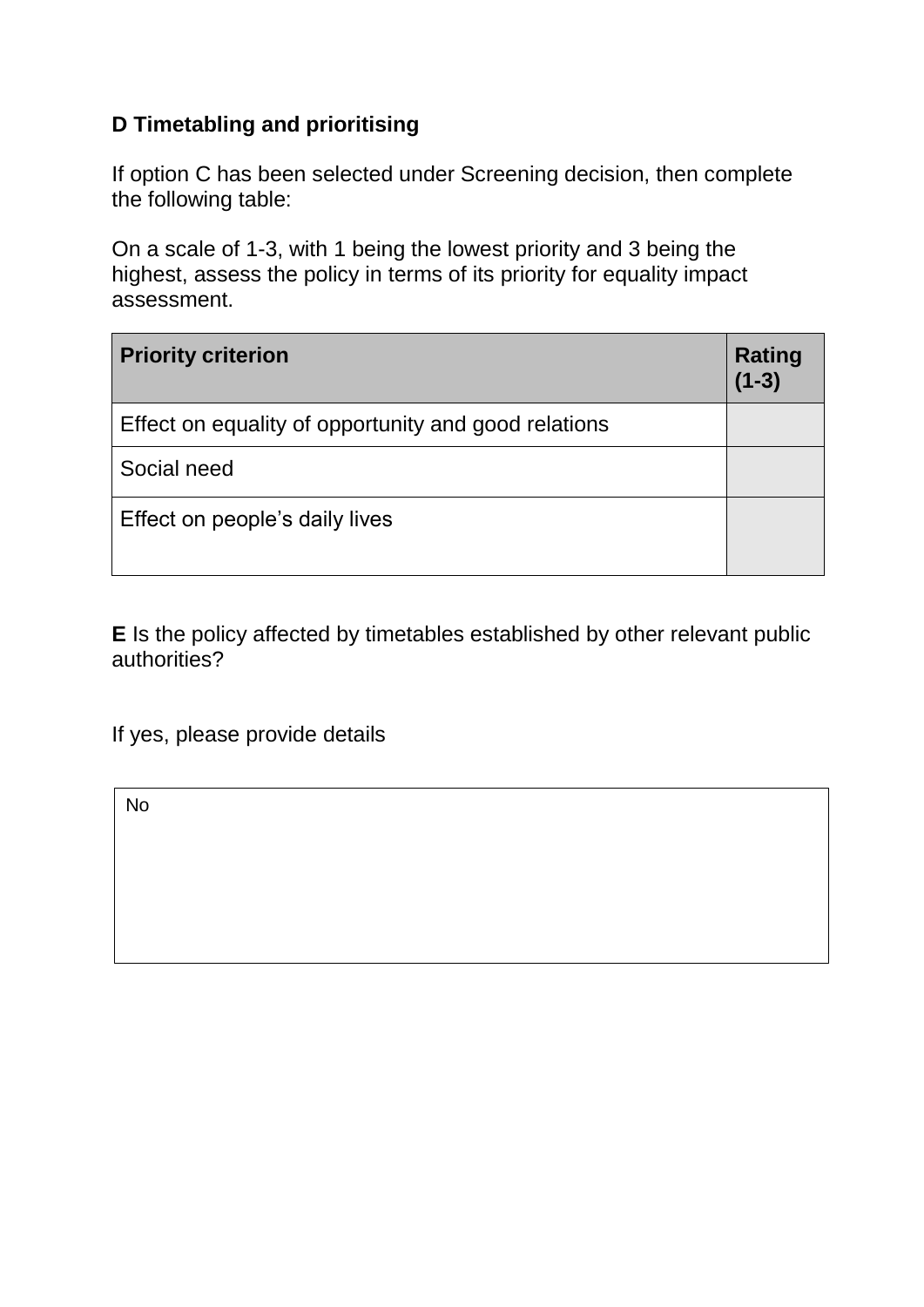# **D Timetabling and prioritising**

If option C has been selected under Screening decision, then complete the following table:

On a scale of 1-3, with 1 being the lowest priority and 3 being the highest, assess the policy in terms of its priority for equality impact assessment.

| <b>Priority criterion</b>                            | <b>Rating</b><br>$(1-3)$ |
|------------------------------------------------------|--------------------------|
| Effect on equality of opportunity and good relations |                          |
| Social need                                          |                          |
| Effect on people's daily lives                       |                          |

**E** Is the policy affected by timetables established by other relevant public authorities?

If yes, please provide details

No